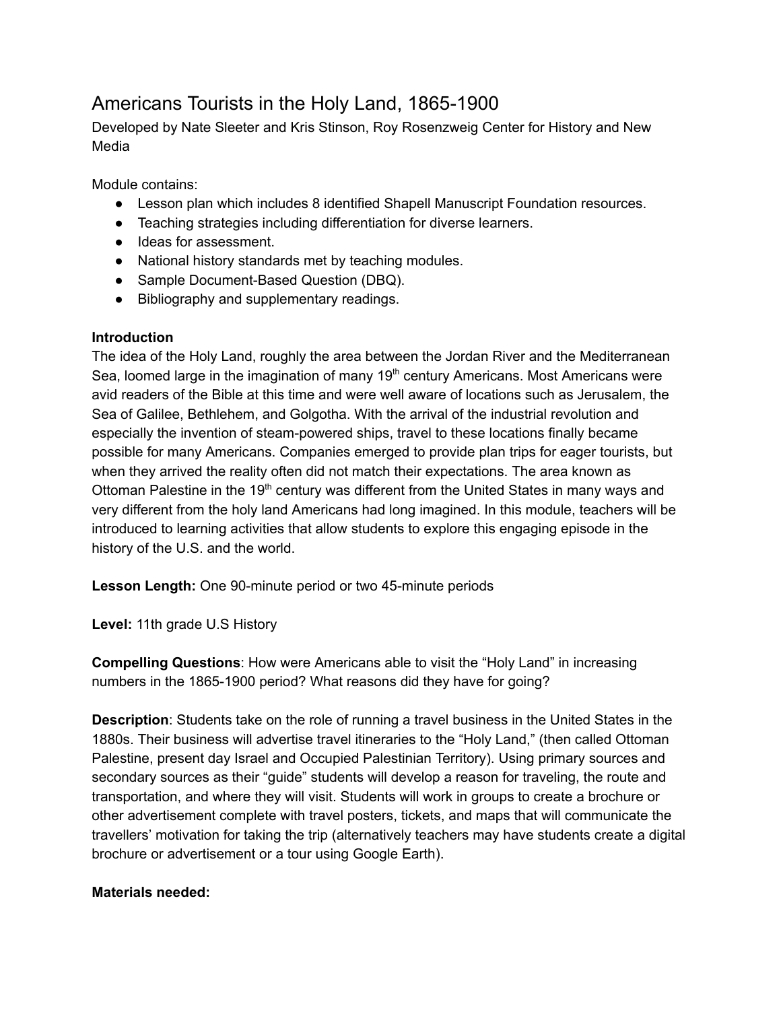# Americans Tourists in the Holy Land, 1865-1900

Developed by Nate Sleeter and Kris Stinson, Roy Rosenzweig Center for History and New Media

Module contains:

- Lesson plan which includes 8 identified Shapell Manuscript Foundation resources.
- Teaching strategies including differentiation for diverse learners.
- Ideas for assessment.
- National history standards met by teaching modules.
- Sample Document-Based Question (DBQ).
- Bibliography and supplementary readings.

## **Introduction**

The idea of the Holy Land, roughly the area between the Jordan River and the Mediterranean Sea, loomed large in the imagination of many  $19<sup>th</sup>$  century Americans. Most Americans were avid readers of the Bible at this time and were well aware of locations such as Jerusalem, the Sea of Galilee, Bethlehem, and Golgotha. With the arrival of the industrial revolution and especially the invention of steam-powered ships, travel to these locations finally became possible for many Americans. Companies emerged to provide plan trips for eager tourists, but when they arrived the reality often did not match their expectations. The area known as Ottoman Palestine in the 19<sup>th</sup> century was different from the United States in many ways and very different from the holy land Americans had long imagined. In this module, teachers will be introduced to learning activities that allow students to explore this engaging episode in the history of the U.S. and the world.

**Lesson Length:** One 90-minute period or two 45-minute periods

**Level:** 11th grade U.S History

**Compelling Questions** : How were Americans able to visit the "Holy Land" in increasing numbers in the 1865-1900 period? What reasons did they have for going?

**Description**: Students take on the role of running a travel business in the United States in the 1880s. Their business will advertise travel itineraries to the "Holy Land," (then called Ottoman Palestine, present day Israel and Occupied Palestinian Territory). Using primary sources and secondary sources as their "guide" students will develop a reason for traveling, the route and transportation, and where they will visit. Students will work in groups to create a brochure or other advertisement complete with travel posters, tickets, and maps that will communicate the travellers' motivation for taking the trip (alternatively teachers may have students create a digital brochure or advertisement or a tour using Google Earth).

## **Materials needed:**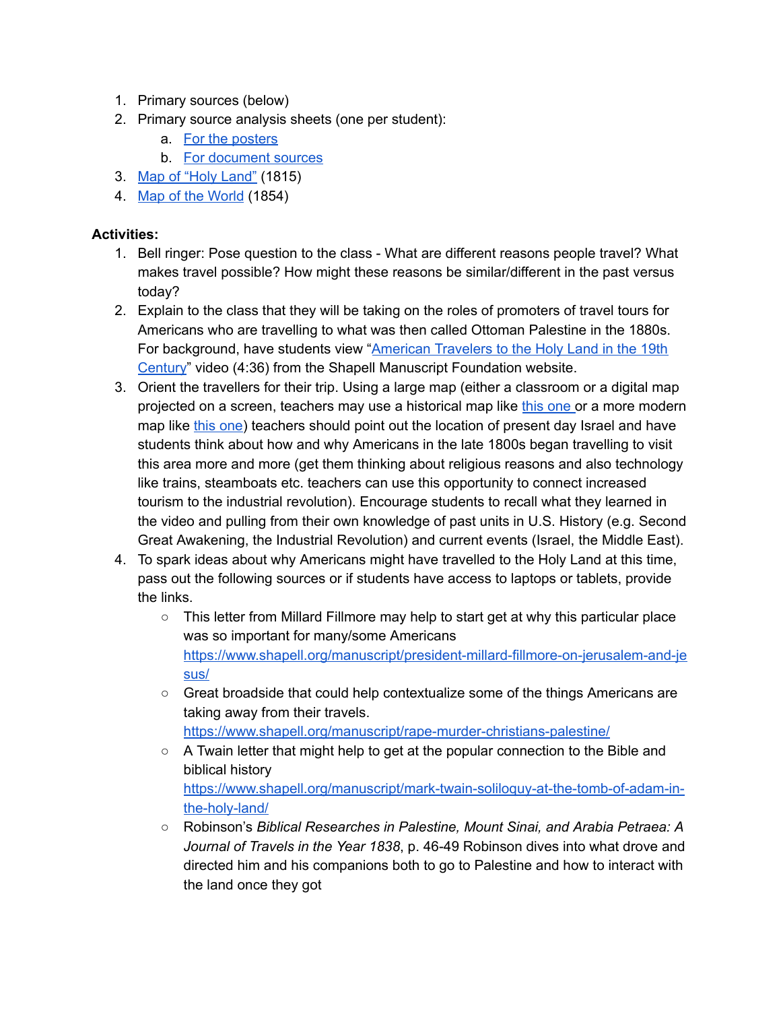- 1. Primary sources (below)
- 2. Primary source analysis sheets (one per student):
	- a. [For the posters](https://www.archives.gov/files/education/lessons/worksheets/poster_analysis_worksheet.pdf)
	- b. [For document sources](https://www.archives.gov/files/education/lessons/worksheets/written_document_analysis_worksheet.pdf)
- 3. [Map of "Holy Land"](https://www.loc.gov/resource/g7481a.ct006149/) (1815)
- 4. [Map of the World](https://www.loc.gov/resource/g3200.ct002354/) (1854)

## **Activities:**

- 1. Bell ringer: Pose question to the class What are different reasons people travel? What makes travel possible? How might these reasons be similar/different in the past versus today?
- 2. Explain to the class that they will be taking on the roles of promoters of travel tours for Americans who are travelling to what was then called Ottoman Palestine in the 1880s. For background, have students view "American Travelers to the Holy Land in the 19th [Century](https://www.shapell.org/historical-perspectives/video-journeys/10858/)" video (4:36) from the Shapell Manuscript Foundation website.
- 3. Orient the travellers for their trip. Using a large map (either a classroom or a digital map projected on a screen, teachers may use a historical map like [this one o](https://www.loc.gov/resource/g3200.ct002354/)r a more modern map like [this one](https://www.loc.gov/item/2002625114/)) teachers should point out the location of present day Israel and have students think about how and why Americans in the late 1800s began travelling to visit this area more and more (get them thinking about religious reasons and also technology like trains, steamboats etc. teachers can use this opportunity to connect increased tourism to the industrial revolution). Encourage students to recall what they learned in the video and pulling from their own knowledge of past units in U.S. History (e.g. Second Great Awakening, the Industrial Revolution) and current events (Israel, the Middle East).
- 4. To spark ideas about why Americans might have travelled to the Holy Land at this time, pass out the following sources or if students have access to laptops or tablets, provide the links.
	- This letter from Millard Fillmore may help to start get at why this particular place was so important for many/some Americans [https://www.shapell.org/manuscript/president-millard-fillmore-on-jerusalem-and-je](https://www.shapell.org/manuscript/president-millard-fillmore-on-jerusalem-and-jesus/) [sus/](https://www.shapell.org/manuscript/president-millard-fillmore-on-jerusalem-and-jesus/)
	- Great broadside that could help contextualize some of the things Americans are taking away from their travels. <https://www.shapell.org/manuscript/rape-murder-christians-palestine/>
	- A Twain letter that might help to get at the popular connection to the Bible and biblical history [https://www.shapell.org/manuscript/mark-twain-soliloquy-at-the-tomb-of-adam-in](https://www.shapell.org/manuscript/mark-twain-soliloquy-at-the-tomb-of-adam-in-the-holy-land/)[the-holy-land/](https://www.shapell.org/manuscript/mark-twain-soliloquy-at-the-tomb-of-adam-in-the-holy-land/)
	- Robinson's *Biblical Researches in Palestine, Mount Sinai, and Arabia Petraea: A Journal of Travels in the Year 1838* , p. 46-49 Robinson dives into what drove and directed him and his companions both to go to Palestine and how to interact with the land once they got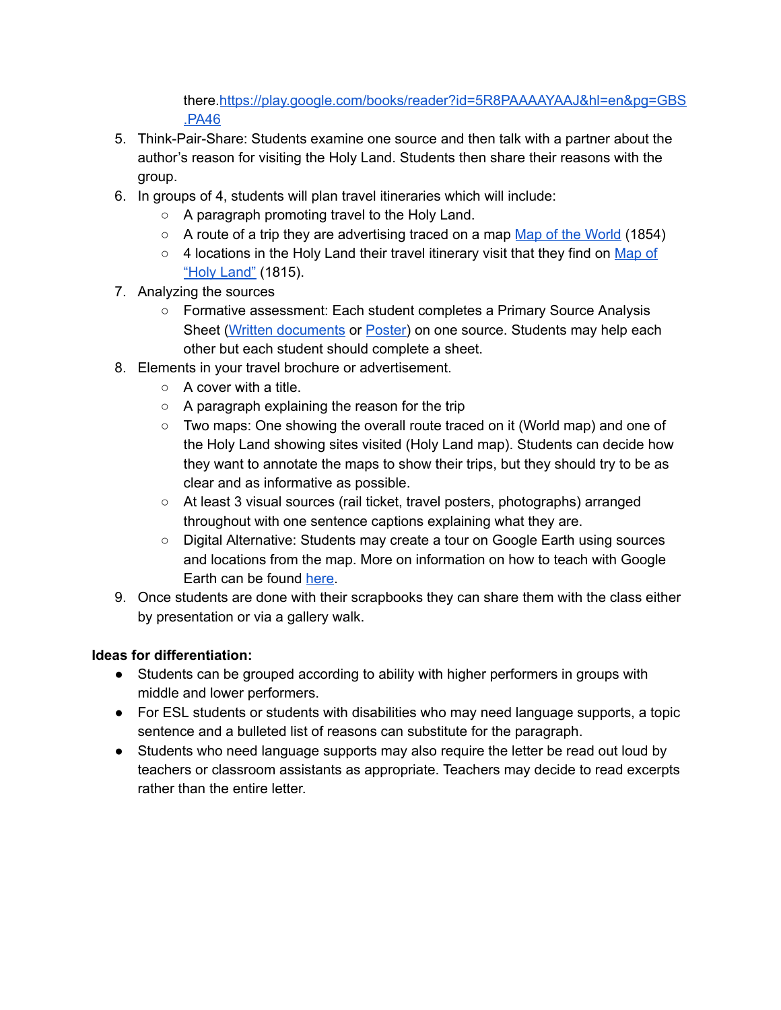there[. https://play.google.com/books/reader?id=5R8PAAAAYAAJ&hl=en&pg=GBS](https://play.google.com/books/reader?id=5R8PAAAAYAAJ&hl=en&pg=GBS.PA46) [.PA46](https://play.google.com/books/reader?id=5R8PAAAAYAAJ&hl=en&pg=GBS.PA46)

- 5. Think-Pair-Share: Students examine one source and then talk with a partner about the author's reason for visiting the Holy Land. Students then share their reasons with the group.
- 6. In groups of 4, students will plan travel itineraries which will include:
	- A paragraph promoting travel to the Holy Land.
	- $\circ$  A route of a trip they are advertising traced on a map [Map of the World](https://www.loc.gov/resource/g3200.ct002354/) (1854)
	- $\circ$  4 locations in the Holy Land their travel itinerary visit that they find on Map of ["Holy Land"](https://www.loc.gov/resource/g7481a.ct006149/) (1815).
- 7. Analyzing the sources
	- Formative assessment: Each student completes a Primary Source Analysis Sheet (Written documents or Poster) on one source. Students may help each other but each student should complete a sheet.
- 8. Elements in your travel brochure or advertisement.
	- $\circ$  A cover with a title.
	- A paragraph explaining the reason for the trip
	- Two maps: One showing the overall route traced on it (World map) and one of the Holy Land showing sites visited (Holy Land map). Students can decide how they want to annotate the maps to show their trips, but they should try to be as clear and as informative as possible.
	- At least 3 visual sources (rail ticket, travel posters, photographs) arranged throughout with one sentence captions explaining what they are.
	- Digital Alternative: Students may create a tour on Google Earth using sources and locations from the map. More on information on how to teach with Google Earth can be found here.
- 9. Once students are done with their scrapbooks they can share them with the class either by presentation or via a gallery walk.

## **Ideas for differentiation:**

- Students can be grouped according to ability with higher performers in groups with middle and lower performers.
- For ESL students or students with disabilities who may need language supports, a topic sentence and a bulleted list of reasons can substitute for the paragraph.
- Students who need language supports may also require the letter be read out loud by teachers or classroom assistants as appropriate. Teachers may decide to read excerpts rather than the entire letter.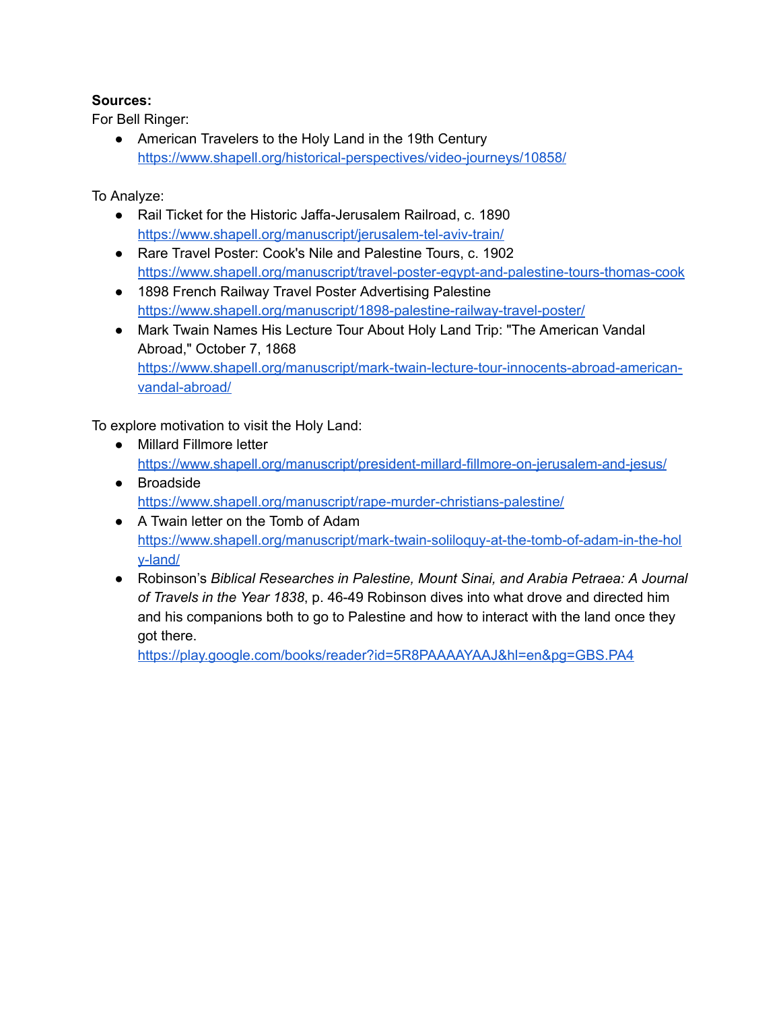## **Sources:**

For Bell Ringer:

● American Travelers to the Holy Land in the 19th Century <https://www.shapell.org/historical-perspectives/video-journeys/10858/>

To Analyze:

- Rail Ticket for the Historic Jaffa-Jerusalem Railroad, c. 1890 <https://www.shapell.org/manuscript/jerusalem-tel-aviv-train/>
- Rare Travel Poster: Cook's Nile and Palestine Tours, c. 1902 <https://www.shapell.org/manuscript/travel-poster-egypt-and-palestine-tours-thomas-cook>
- 1898 French Railway Travel Poster Advertising Palestine <https://www.shapell.org/manuscript/1898-palestine-railway-travel-poster/>
- Mark Twain Names His Lecture Tour About Holy Land Trip: "The American Vandal Abroad," October 7, 1868 [https://www.shapell.org/manuscript/mark-twain-lecture-tour-innocents-abroad-american](https://www.shapell.org/manuscript/mark-twain-lecture-tour-innocents-abroad-american-vandal-abroad/)[vandal-abroad/](https://www.shapell.org/manuscript/mark-twain-lecture-tour-innocents-abroad-american-vandal-abroad/)

To explore motivation to visit the Holy Land:

- Millard Fillmore letter <https://www.shapell.org/manuscript/president-millard-fillmore-on-jerusalem-and-jesus/>
- Broadside <https://www.shapell.org/manuscript/rape-murder-christians-palestine/>
- A Twain letter on the Tomb of Adam [https://www.shapell.org/manuscript/mark-twain-soliloquy-at-the-tomb-of-adam-in-the-hol](https://www.shapell.org/manuscript/mark-twain-soliloquy-at-the-tomb-of-adam-in-the-holy-land/)  [y-land/](https://www.shapell.org/manuscript/mark-twain-soliloquy-at-the-tomb-of-adam-in-the-holy-land/)
- Robinson's *Biblical Researches in Palestine, Mount Sinai, and Arabia Petraea: A Journal of Travels in the Year 1838* , p. 46-49 Robinson dives into what drove and directed him and his companions both to go to Palestine and how to interact with the land once they got there.

[https://play.google.com/books/reader?id=5R8PAAAAYAAJ&hl=en&pg=GBS.PA4](https://play.google.com/books/reader?id=5R8PAAAAYAAJ&hl=en&pg=GBS.PA46)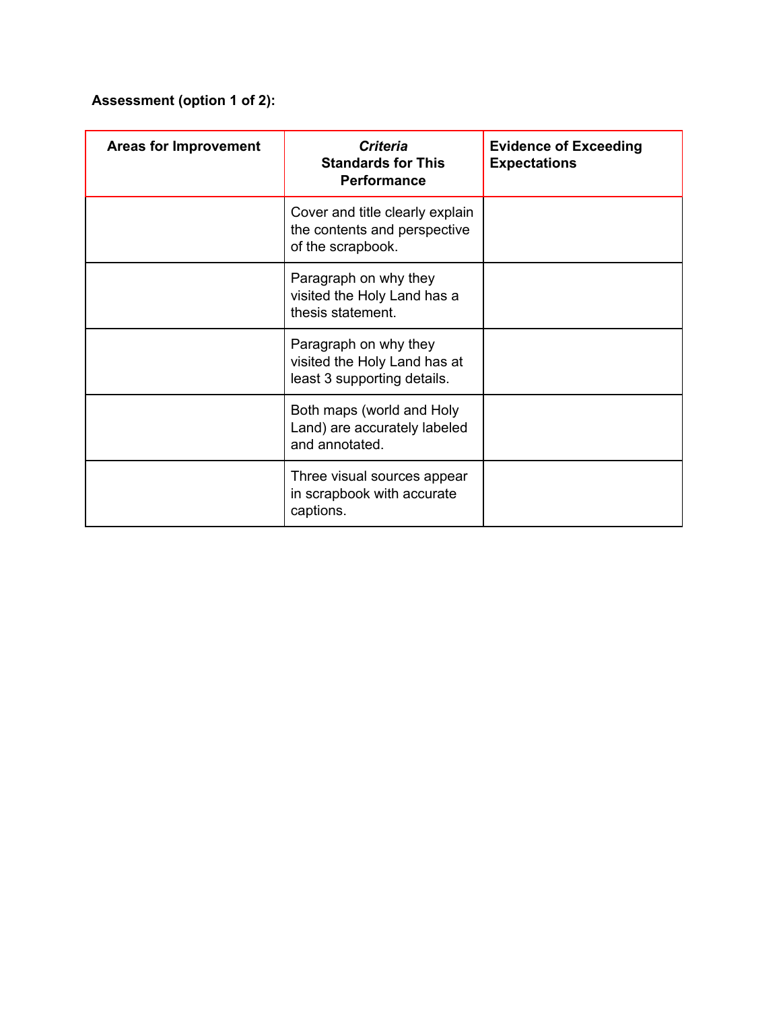## **Assessment (option 1 of 2):**

| <b>Areas for Improvement</b> | <b>Criteria</b><br><b>Standards for This</b><br><b>Performance</b>                   | <b>Evidence of Exceeding</b><br><b>Expectations</b> |
|------------------------------|--------------------------------------------------------------------------------------|-----------------------------------------------------|
|                              | Cover and title clearly explain<br>the contents and perspective<br>of the scrapbook. |                                                     |
|                              | Paragraph on why they<br>visited the Holy Land has a<br>thesis statement.            |                                                     |
|                              | Paragraph on why they<br>visited the Holy Land has at<br>least 3 supporting details. |                                                     |
|                              | Both maps (world and Holy<br>Land) are accurately labeled<br>and annotated.          |                                                     |
|                              | Three visual sources appear<br>in scrapbook with accurate<br>captions.               |                                                     |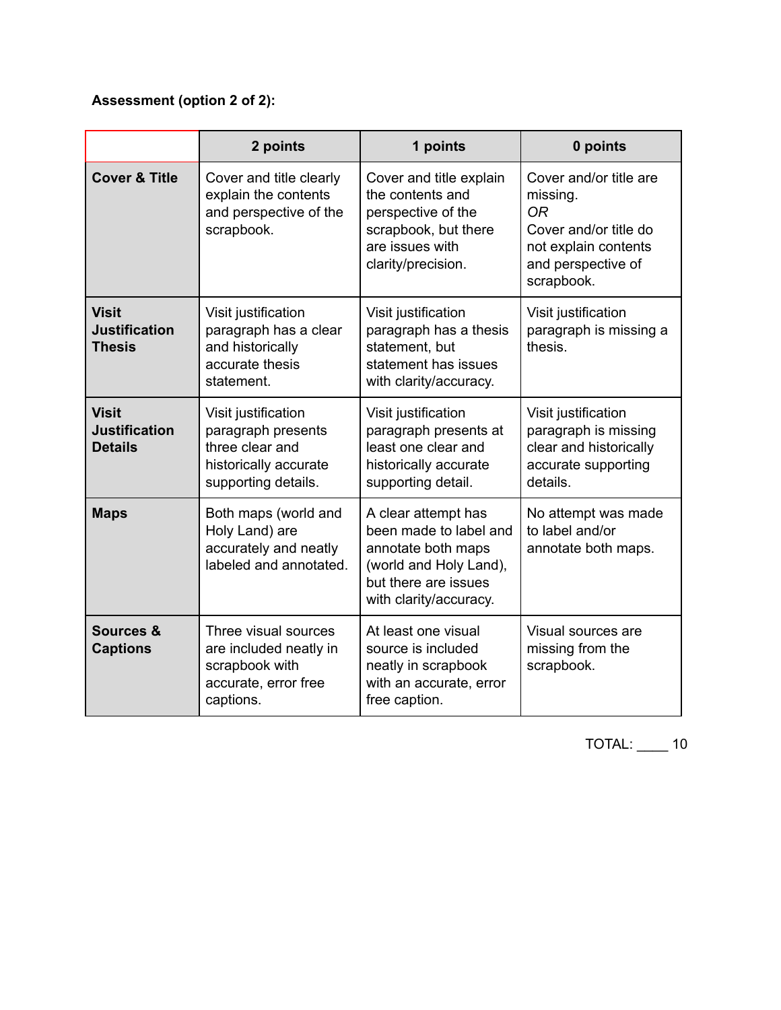## **Assessment (option 2 of 2):**

|                                                        | 2 points                                                                                                     | 1 points                                                                                                                                        | 0 points                                                                                                                             |
|--------------------------------------------------------|--------------------------------------------------------------------------------------------------------------|-------------------------------------------------------------------------------------------------------------------------------------------------|--------------------------------------------------------------------------------------------------------------------------------------|
| <b>Cover &amp; Title</b>                               | Cover and title clearly<br>explain the contents<br>and perspective of the<br>scrapbook.                      | Cover and title explain<br>the contents and<br>perspective of the<br>scrapbook, but there<br>are issues with<br>clarity/precision.              | Cover and/or title are<br>missing.<br><b>OR</b><br>Cover and/or title do<br>not explain contents<br>and perspective of<br>scrapbook. |
| <b>Visit</b><br><b>Justification</b><br><b>Thesis</b>  | Visit justification<br>paragraph has a clear<br>and historically<br>accurate thesis<br>statement.            | Visit justification<br>paragraph has a thesis<br>statement, but<br>statement has issues<br>with clarity/accuracy.                               | Visit justification<br>paragraph is missing a<br>thesis.                                                                             |
| <b>Visit</b><br><b>Justification</b><br><b>Details</b> | Visit justification<br>paragraph presents<br>three clear and<br>historically accurate<br>supporting details. | Visit justification<br>paragraph presents at<br>least one clear and<br>historically accurate<br>supporting detail.                              | Visit justification<br>paragraph is missing<br>clear and historically<br>accurate supporting<br>details.                             |
| <b>Maps</b>                                            | Both maps (world and<br>Holy Land) are<br>accurately and neatly<br>labeled and annotated.                    | A clear attempt has<br>been made to label and<br>annotate both maps<br>(world and Holy Land),<br>but there are issues<br>with clarity/accuracy. | No attempt was made<br>to label and/or<br>annotate both maps.                                                                        |
| Sources &<br><b>Captions</b>                           | Three visual sources<br>are included neatly in<br>scrapbook with<br>accurate, error free<br>captions.        | At least one visual<br>source is included<br>neatly in scrapbook<br>with an accurate, error<br>free caption.                                    | Visual sources are<br>missing from the<br>scrapbook.                                                                                 |

TOTAL: \_\_\_\_ 10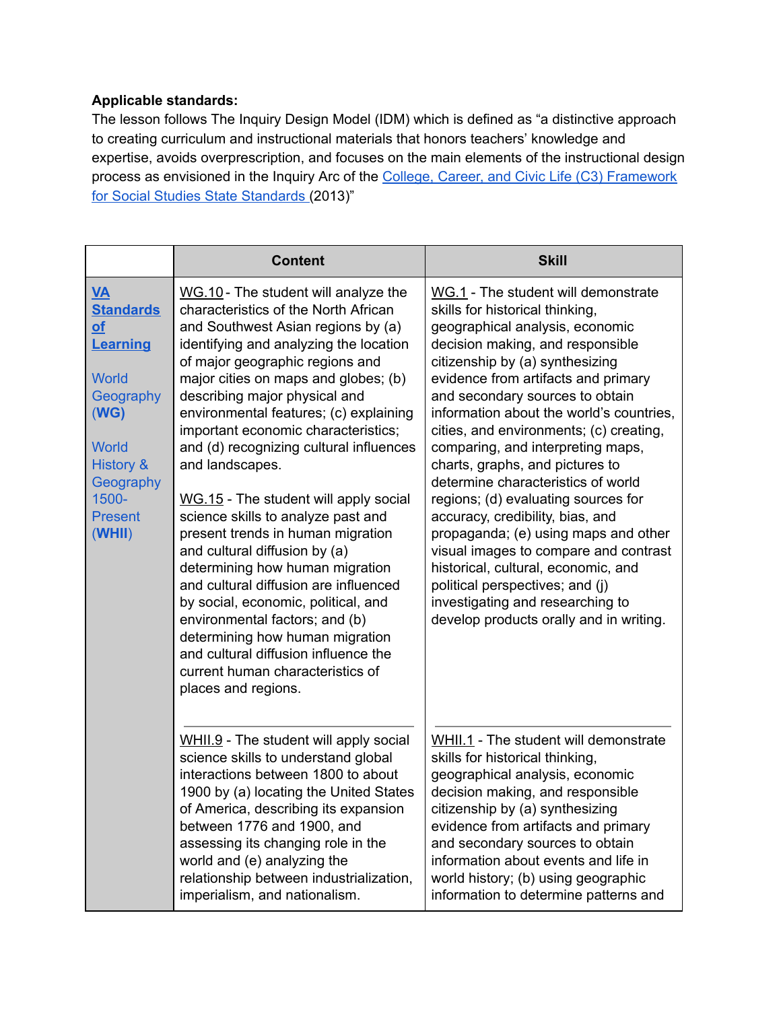#### **Applicable standards:**

The lesson follows The Inquiry Design Model (IDM) which is defined as "a distinctive approach to creating curriculum and instructional materials that honors teachers' knowledge and expertise, avoids overprescription, and focuses on the main elements of the instructional design process as envisioned in the Inquiry Arc of the [College, Career, and Civic Life \(C3\) Framework](http://www.socialstudies.org/c3)  [for Social Studies State Standards](http://www.socialstudies.org/c3) (2013)"

|                                                                                                                                                                                       | <b>Content</b>                                                                                                                                                                                                                                                                                                                                                                                                                                                                                                                                                                                                                                                                                                                                                                                                                                                          | <b>Skill</b>                                                                                                                                                                                                                                                                                                                                                                                                                                                                                                                                                                                                                                                                                                                                                                         |
|---------------------------------------------------------------------------------------------------------------------------------------------------------------------------------------|-------------------------------------------------------------------------------------------------------------------------------------------------------------------------------------------------------------------------------------------------------------------------------------------------------------------------------------------------------------------------------------------------------------------------------------------------------------------------------------------------------------------------------------------------------------------------------------------------------------------------------------------------------------------------------------------------------------------------------------------------------------------------------------------------------------------------------------------------------------------------|--------------------------------------------------------------------------------------------------------------------------------------------------------------------------------------------------------------------------------------------------------------------------------------------------------------------------------------------------------------------------------------------------------------------------------------------------------------------------------------------------------------------------------------------------------------------------------------------------------------------------------------------------------------------------------------------------------------------------------------------------------------------------------------|
| <b>VA</b><br><b>Standards</b><br><b>of</b><br>Learning<br><b>World</b><br>Geography<br>(WG)<br><b>World</b><br><b>History &amp;</b><br>Geography<br>1500-<br><b>Present</b><br>(WHII) | WG.10 - The student will analyze the<br>characteristics of the North African<br>and Southwest Asian regions by (a)<br>identifying and analyzing the location<br>of major geographic regions and<br>major cities on maps and globes; (b)<br>describing major physical and<br>environmental features; (c) explaining<br>important economic characteristics;<br>and (d) recognizing cultural influences<br>and landscapes.<br>WG.15 - The student will apply social<br>science skills to analyze past and<br>present trends in human migration<br>and cultural diffusion by (a)<br>determining how human migration<br>and cultural diffusion are influenced<br>by social, economic, political, and<br>environmental factors; and (b)<br>determining how human migration<br>and cultural diffusion influence the<br>current human characteristics of<br>places and regions. | WG.1 - The student will demonstrate<br>skills for historical thinking,<br>geographical analysis, economic<br>decision making, and responsible<br>citizenship by (a) synthesizing<br>evidence from artifacts and primary<br>and secondary sources to obtain<br>information about the world's countries,<br>cities, and environments; (c) creating,<br>comparing, and interpreting maps,<br>charts, graphs, and pictures to<br>determine characteristics of world<br>regions; (d) evaluating sources for<br>accuracy, credibility, bias, and<br>propaganda; (e) using maps and other<br>visual images to compare and contrast<br>historical, cultural, economic, and<br>political perspectives; and (j)<br>investigating and researching to<br>develop products orally and in writing. |
|                                                                                                                                                                                       | WHII.9 - The student will apply social<br>science skills to understand global<br>interactions between 1800 to about<br>1900 by (a) locating the United States<br>of America, describing its expansion<br>between 1776 and 1900, and<br>assessing its changing role in the<br>world and (e) analyzing the<br>relationship between industrialization,<br>imperialism, and nationalism.                                                                                                                                                                                                                                                                                                                                                                                                                                                                                    | WHII.1 - The student will demonstrate<br>skills for historical thinking,<br>geographical analysis, economic<br>decision making, and responsible<br>citizenship by (a) synthesizing<br>evidence from artifacts and primary<br>and secondary sources to obtain<br>information about events and life in<br>world history; (b) using geographic<br>information to determine patterns and                                                                                                                                                                                                                                                                                                                                                                                                 |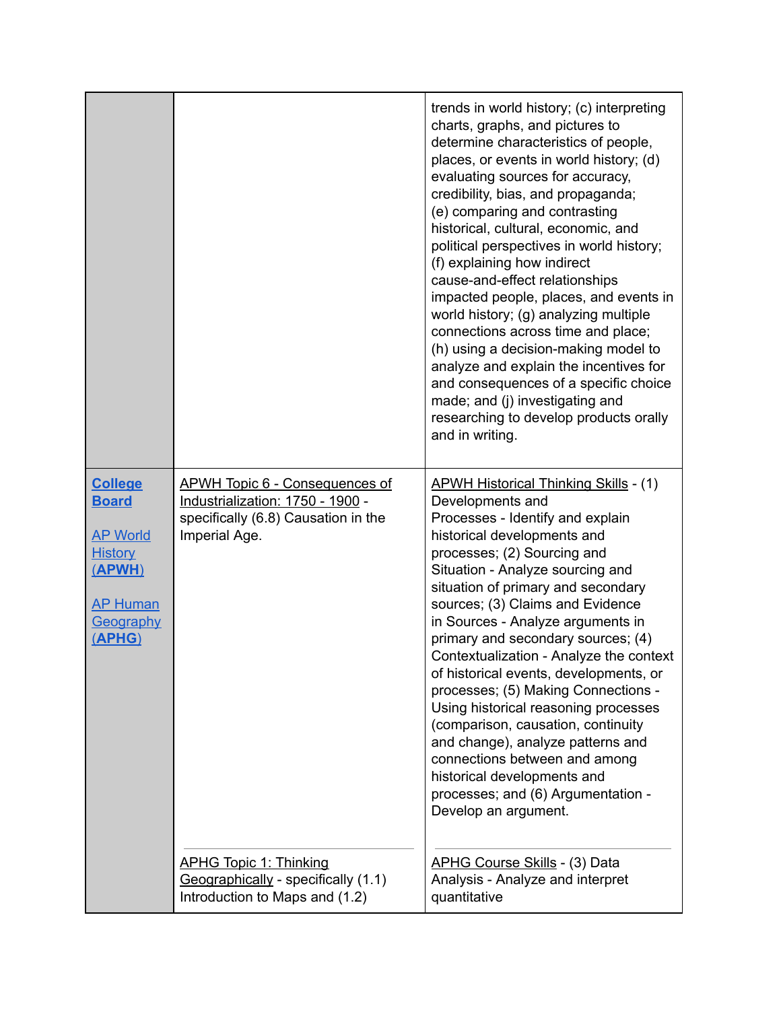|                                                                                                                         |                                                                                                                                   | trends in world history; (c) interpreting<br>charts, graphs, and pictures to<br>determine characteristics of people,<br>places, or events in world history; (d)<br>evaluating sources for accuracy,<br>credibility, bias, and propaganda;<br>(e) comparing and contrasting<br>historical, cultural, economic, and<br>political perspectives in world history;<br>(f) explaining how indirect<br>cause-and-effect relationships<br>impacted people, places, and events in<br>world history; (g) analyzing multiple<br>connections across time and place;<br>(h) using a decision-making model to<br>analyze and explain the incentives for<br>and consequences of a specific choice<br>made; and (j) investigating and<br>researching to develop products orally<br>and in writing. |
|-------------------------------------------------------------------------------------------------------------------------|-----------------------------------------------------------------------------------------------------------------------------------|------------------------------------------------------------------------------------------------------------------------------------------------------------------------------------------------------------------------------------------------------------------------------------------------------------------------------------------------------------------------------------------------------------------------------------------------------------------------------------------------------------------------------------------------------------------------------------------------------------------------------------------------------------------------------------------------------------------------------------------------------------------------------------|
| <b>College</b><br><b>Board</b><br><b>AP World</b><br><b>History</b><br>(APWH)<br><b>AP Human</b><br>Geography<br>(APHG) | <b>APWH Topic 6 - Consequences of</b><br>Industrialization: 1750 - 1900 -<br>specifically (6.8) Causation in the<br>Imperial Age. | <b>APWH Historical Thinking Skills - (1)</b><br>Developments and<br>Processes - Identify and explain<br>historical developments and<br>processes; (2) Sourcing and<br>Situation - Analyze sourcing and<br>situation of primary and secondary<br>sources; (3) Claims and Evidence<br>in Sources - Analyze arguments in<br>primary and secondary sources; (4)<br>Contextualization - Analyze the context<br>of historical events, developments, or<br>processes; (5) Making Connections -<br>Using historical reasoning processes<br>(comparison, causation, continuity<br>and change), analyze patterns and<br>connections between and among<br>historical developments and<br>processes; and (6) Argumentation -<br>Develop an argument.                                           |
|                                                                                                                         | <b>APHG Topic 1: Thinking</b><br>$Geographically - specifically (1.1)$<br>Introduction to Maps and (1.2)                          | <b>APHG Course Skills - (3) Data</b><br>Analysis - Analyze and interpret<br>quantitative                                                                                                                                                                                                                                                                                                                                                                                                                                                                                                                                                                                                                                                                                           |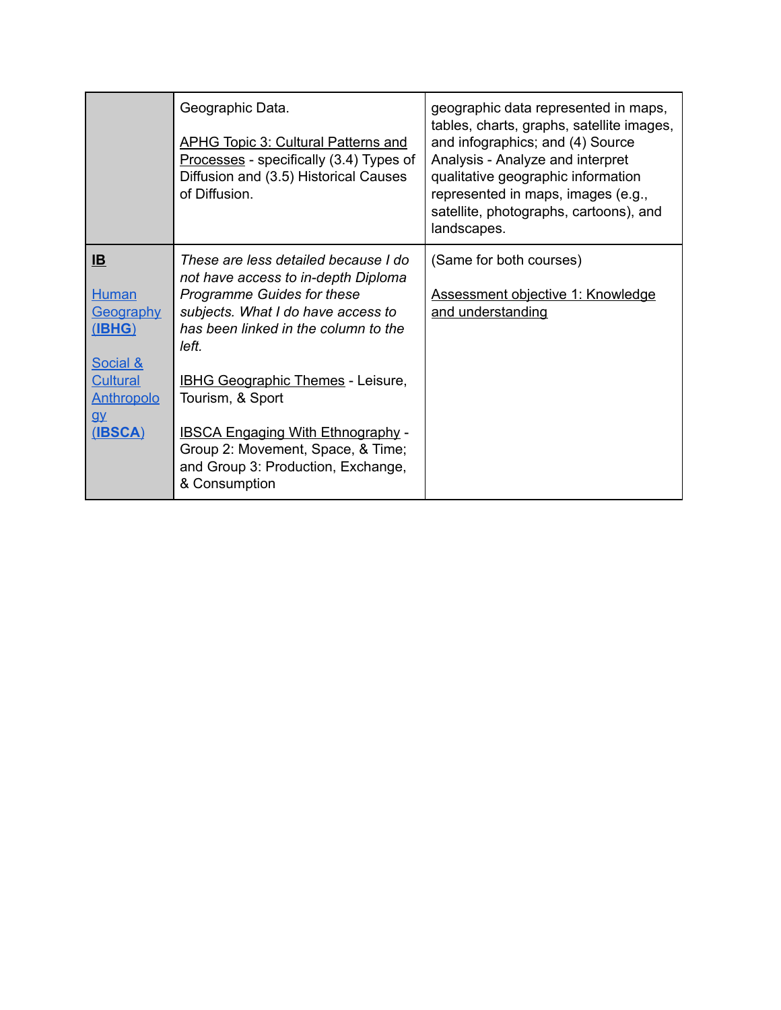|                                                                                                                                                 | Geographic Data.<br><b>APHG Topic 3: Cultural Patterns and</b><br>Processes - specifically (3.4) Types of<br>Diffusion and (3.5) Historical Causes<br>of Diffusion.                                                                                                                                          | geographic data represented in maps,<br>tables, charts, graphs, satellite images,<br>and infographics; and (4) Source<br>Analysis - Analyze and interpret<br>qualitative geographic information<br>represented in maps, images (e.g.,<br>satellite, photographs, cartoons), and<br>landscapes. |
|-------------------------------------------------------------------------------------------------------------------------------------------------|--------------------------------------------------------------------------------------------------------------------------------------------------------------------------------------------------------------------------------------------------------------------------------------------------------------|------------------------------------------------------------------------------------------------------------------------------------------------------------------------------------------------------------------------------------------------------------------------------------------------|
| $\underline{\mathbf{B}}$<br><b>Human</b><br>Geography<br>(IBHG)<br><b>Social &amp;</b><br><b>Cultural</b><br><b>Anthropolo</b><br>QV<br>(IBSCA) | These are less detailed because I do<br>not have access to in-depth Diploma<br>Programme Guides for these<br>subjects. What I do have access to<br>has been linked in the column to the<br>left.<br><b>IBHG Geographic Themes - Leisure,</b><br>Tourism, & Sport<br><b>IBSCA Engaging With Ethnography -</b> | (Same for both courses)<br>Assessment objective 1: Knowledge<br>and understanding                                                                                                                                                                                                              |
|                                                                                                                                                 | Group 2: Movement, Space, & Time;<br>and Group 3: Production, Exchange,<br>& Consumption                                                                                                                                                                                                                     |                                                                                                                                                                                                                                                                                                |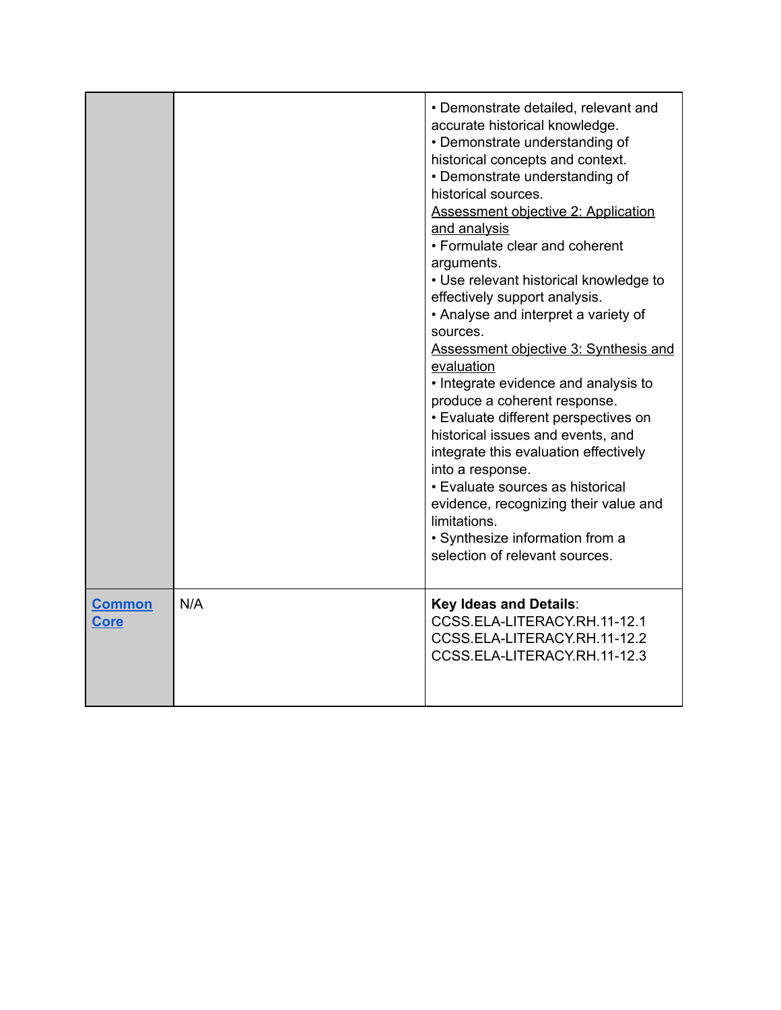|                       |     | • Demonstrate detailed, relevant and<br>accurate historical knowledge.<br>• Demonstrate understanding of<br>historical concepts and context.<br>• Demonstrate understanding of<br>historical sources.<br><b>Assessment objective 2: Application</b><br>and analysis<br>• Formulate clear and coherent<br>arguments.<br>• Use relevant historical knowledge to<br>effectively support analysis.<br>• Analyse and interpret a variety of<br>sources.<br>Assessment objective 3: Synthesis and<br>evaluation<br>• Integrate evidence and analysis to<br>produce a coherent response.<br>• Evaluate different perspectives on<br>historical issues and events, and<br>integrate this evaluation effectively<br>into a response.<br>• Evaluate sources as historical<br>evidence, recognizing their value and<br>limitations.<br>• Synthesize information from a<br>selection of relevant sources. |
|-----------------------|-----|-----------------------------------------------------------------------------------------------------------------------------------------------------------------------------------------------------------------------------------------------------------------------------------------------------------------------------------------------------------------------------------------------------------------------------------------------------------------------------------------------------------------------------------------------------------------------------------------------------------------------------------------------------------------------------------------------------------------------------------------------------------------------------------------------------------------------------------------------------------------------------------------------|
| <b>Common</b><br>Core | N/A | <b>Key Ideas and Details:</b><br>CCSS.ELA-LITERACY.RH.11-12.1<br>CCSS.ELA-LITERACY.RH.11-12.2<br>CCSS.ELA-LITERACY.RH.11-12.3                                                                                                                                                                                                                                                                                                                                                                                                                                                                                                                                                                                                                                                                                                                                                                 |